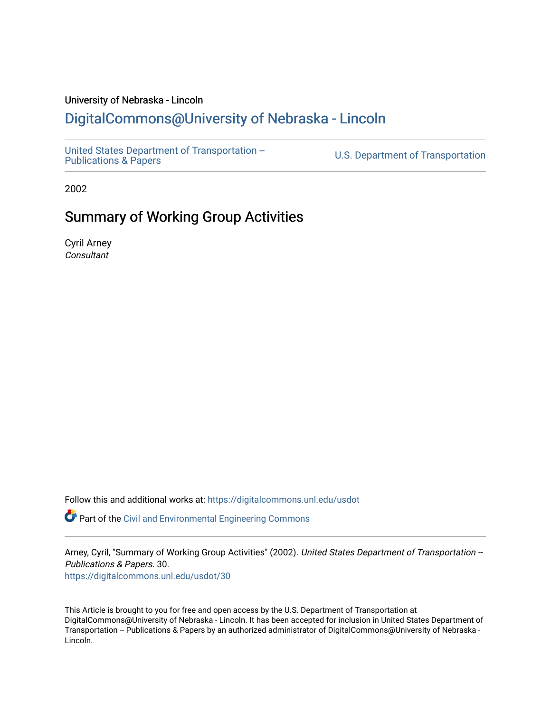#### University of Nebraska - Lincoln

#### [DigitalCommons@University of Nebraska - Lincoln](https://digitalcommons.unl.edu/)

[United States Department of Transportation --](https://digitalcommons.unl.edu/usdot)<br>Publications & Papers

U.S. Department of Transportation

2002

#### Summary of Working Group Activities

Cyril Arney **Consultant** 

Follow this and additional works at: [https://digitalcommons.unl.edu/usdot](https://digitalcommons.unl.edu/usdot?utm_source=digitalcommons.unl.edu%2Fusdot%2F30&utm_medium=PDF&utm_campaign=PDFCoverPages) 

Part of the [Civil and Environmental Engineering Commons](http://network.bepress.com/hgg/discipline/251?utm_source=digitalcommons.unl.edu%2Fusdot%2F30&utm_medium=PDF&utm_campaign=PDFCoverPages)

Arney, Cyril, "Summary of Working Group Activities" (2002). United States Department of Transportation --Publications & Papers. 30.

[https://digitalcommons.unl.edu/usdot/30](https://digitalcommons.unl.edu/usdot/30?utm_source=digitalcommons.unl.edu%2Fusdot%2F30&utm_medium=PDF&utm_campaign=PDFCoverPages)

This Article is brought to you for free and open access by the U.S. Department of Transportation at DigitalCommons@University of Nebraska - Lincoln. It has been accepted for inclusion in United States Department of Transportation -- Publications & Papers by an authorized administrator of DigitalCommons@University of Nebraska - Lincoln.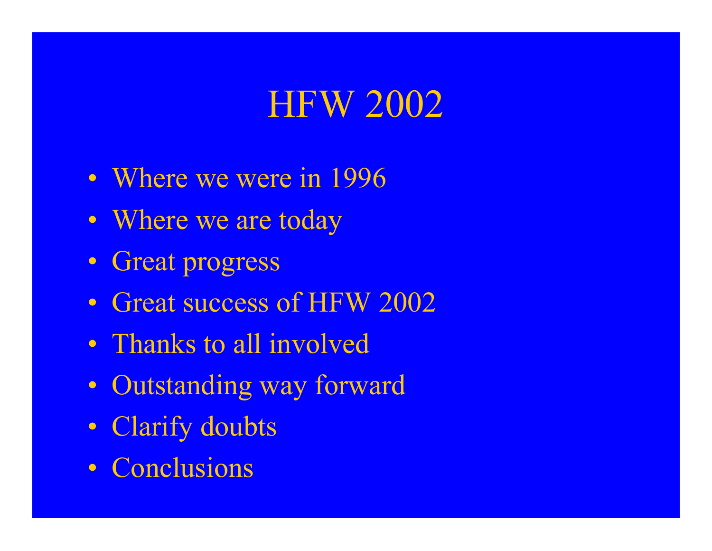# HFW 2002

- Where we were in 1996
- Where we are today
- Great progress
- Great success of HFW 2002
- Thanks to all involved
- Outstanding way forward
- Clarify doubts
- Conclusions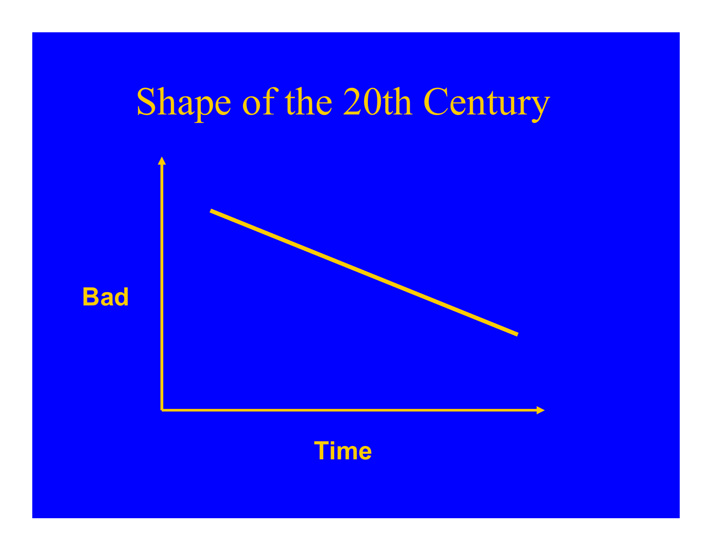# Shape of the 20th Century





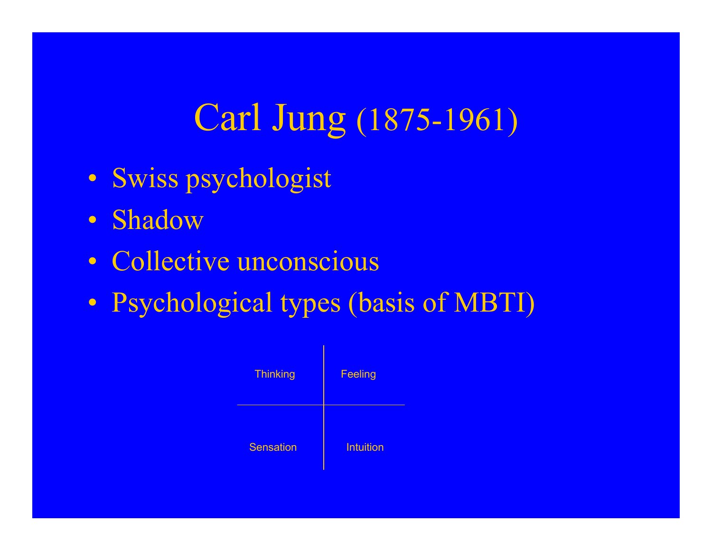# Carl Jung (1875-1961)

- Swiss psychologist
- Shadow
- Collective unconscious
- Psychological types (basis of MBTI)

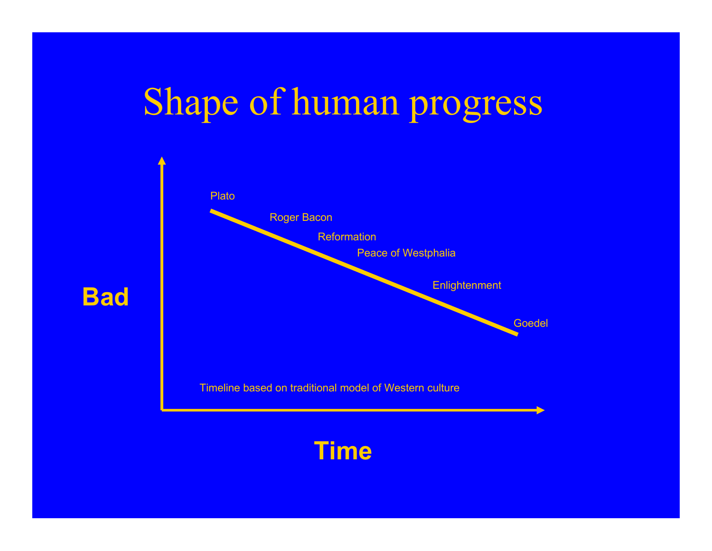# Shape of human progress



**Bad**

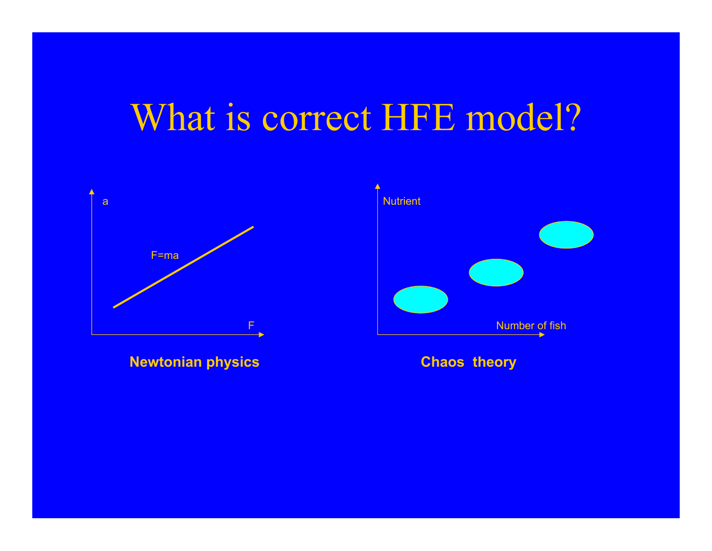#### What is correct HFE model?



**Newtonian physics Chaos theory**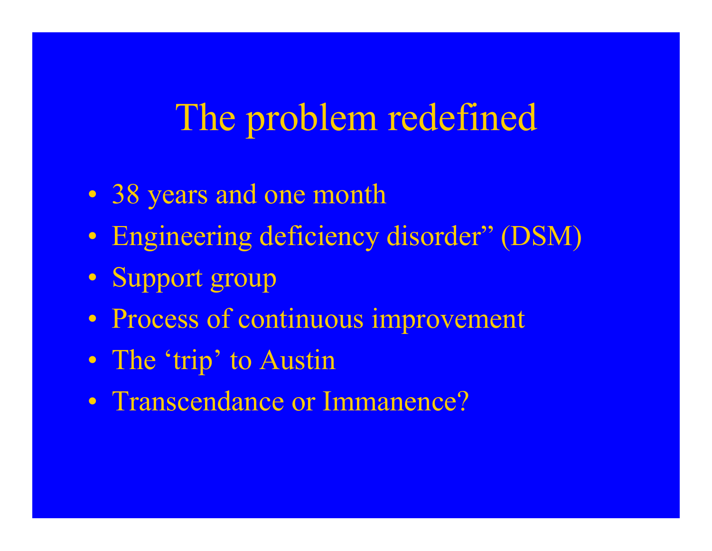# The problem redefined

- 38 years and one month
- $\bullet$ • Engineering deficiency disorder" (DSM)
- $\bullet$ • Support group
- $\bullet$ Process of continuous improvement
- $\bullet$ • The 'trip' to Austin
- $\bullet$ • Transcendance or Immanence?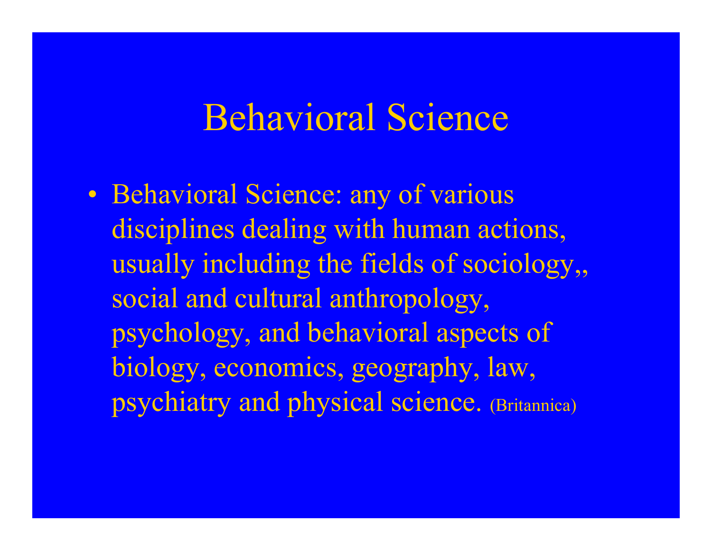#### Behavioral Science

 $\bullet$ • Behavioral Science: any of various disciplines dealing with human actions, usually including the fields of sociology,, social and cultural anthropology, psychology, and behavioral aspects of biology, economics, geography, law, psychiatry and physical science. (Britannica)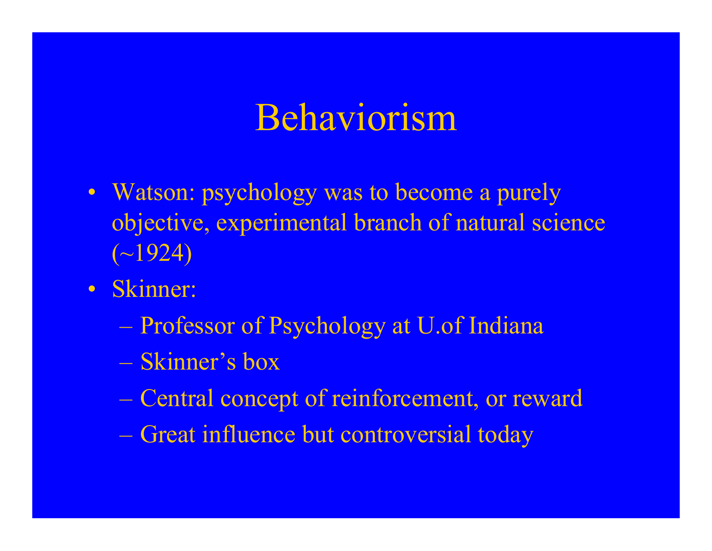# Behaviorism

- Watson: psychology was to become a purely objective, experimental branch of natural science  $(\sim] 924)$
- Skinner:
	- Professor of Psychology at U.of Indiana
	- –Skinner's box
	- Central concept of reinforcement, or reward
	- Great influence but controversial today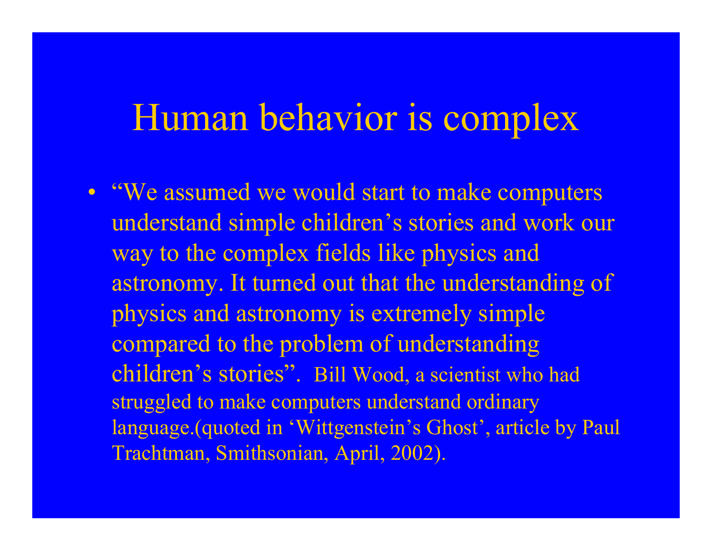#### Human behavior is complex

• "We assumed we would start to make computers understand simple children's stories and work our way to the complex fields like physics and astronomy. It turned out that the understanding of physics and astronomy is extremely simple compared to the problem of understanding children's stories". Bill Wood, a scientist who had struggled to make computers understand ordinary language.(quoted in 'Wittgenstein's Ghost', article by Paul Trachtman, Smithsonian, April, 2002).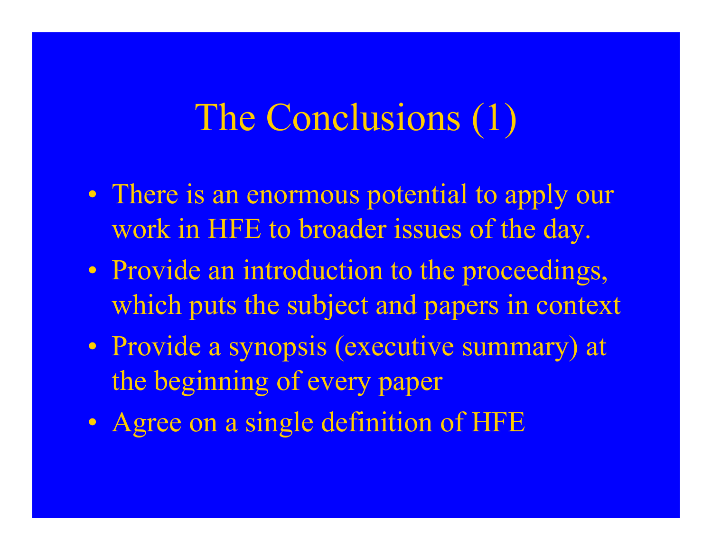# The Conclusions (1)

- $\bullet$ • There is an enormous potential to apply our work in HFE to broader issues of the day.
- $\bullet$ • Provide an introduction to the proceedings, which puts the subject and papers in context
- $\bullet$ • Provide a synopsis (executive summary) at the beginning of every paper
- $\bullet$ • Agree on a single definition of HFE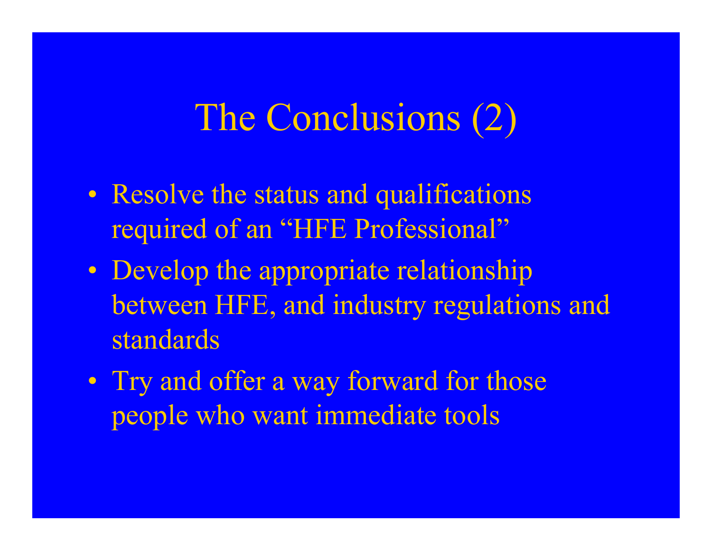# The Conclusions (2)

- $\bullet$ • Resolve the status and qualifications required of an "HFE Professional"
- $\bullet$ • Develop the appropriate relationship between HFE, and industry regulations and standards
- $\bullet$ • Try and offer a way forward for those people who want immediate tools